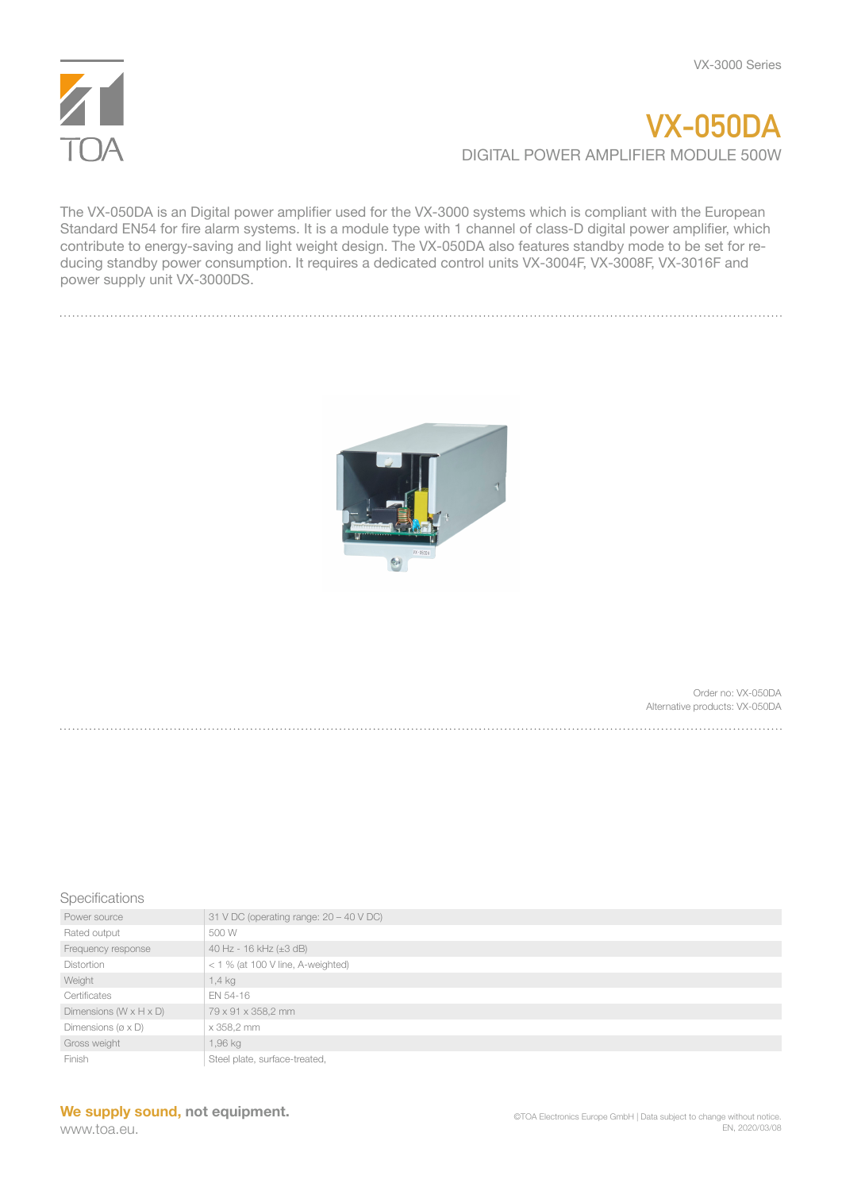

## **VX-050DA** DIGITAL POWER AMPLIFIER MODULE 500W

The VX-050DA is an Digital power amplifier used for the VX-3000 systems which is compliant with the European Standard EN54 for fire alarm systems. It is a module type with 1 channel of class-D digital power amplifier, which contribute to energy-saving and light weight design. The VX-050DA also features standby mode to be set for reducing standby power consumption. It requires a dedicated control units VX-3004F, VX-3008F, VX-3016F and power supply unit VX-3000DS.



Order no: VX-050DA Alternative products: VX-050DA

## **Specifications**

| Power source                          | 31 V DC (operating range: $20 - 40$ V DC) |
|---------------------------------------|-------------------------------------------|
| Rated output                          | 500 W                                     |
| Frequency response                    | 40 Hz - 16 kHz (±3 dB)                    |
| <b>Distortion</b>                     | $<$ 1 % (at 100 V line, A-weighted)       |
| Weight                                | 1,4 kg                                    |
| Certificates                          | EN 54-16                                  |
| Dimensions $(W \times H \times D)$    | 79 x 91 x 358,2 mm                        |
| Dimensions ( $\varnothing \times D$ ) | x 358,2 mm                                |
| Gross weight                          | 1,96 kg                                   |
| Finish                                | Steel plate, surface-treated,             |

## **We supply sound, not equipment.**

www.toa.eu.